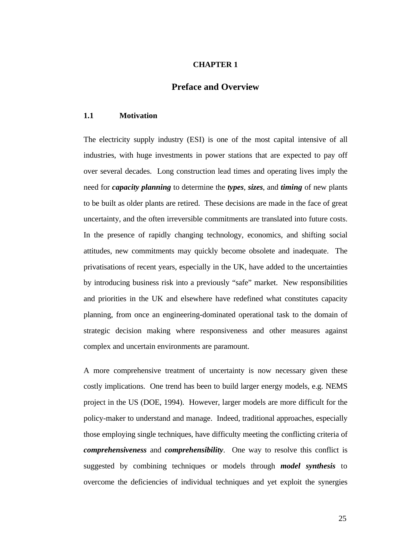### **CHAPTER 1**

# **Preface and Overview**

#### **1.1 Motivation**

The electricity supply industry (ESI) is one of the most capital intensive of all industries, with huge investments in power stations that are expected to pay off over several decades. Long construction lead times and operating lives imply the need for *capacity planning* to determine the *types*, *sizes*, and *timing* of new plants to be built as older plants are retired. These decisions are made in the face of great uncertainty, and the often irreversible commitments are translated into future costs. In the presence of rapidly changing technology, economics, and shifting social attitudes, new commitments may quickly become obsolete and inadequate. The privatisations of recent years, especially in the UK, have added to the uncertainties by introducing business risk into a previously "safe" market. New responsibilities and priorities in the UK and elsewhere have redefined what constitutes capacity planning, from once an engineering-dominated operational task to the domain of strategic decision making where responsiveness and other measures against complex and uncertain environments are paramount.

A more comprehensive treatment of uncertainty is now necessary given these costly implications. One trend has been to build larger energy models, e.g. NEMS project in the US (DOE, 1994). However, larger models are more difficult for the policy-maker to understand and manage. Indeed, traditional approaches, especially those employing single techniques, have difficulty meeting the conflicting criteria of *comprehensiveness* and *comprehensibility*. One way to resolve this conflict is suggested by combining techniques or models through *model synthesis* to overcome the deficiencies of individual techniques and yet exploit the synergies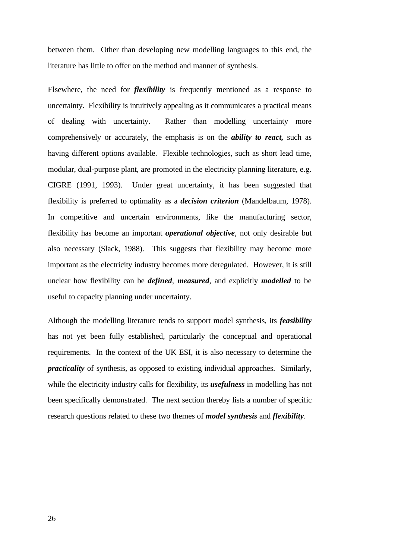between them. Other than developing new modelling languages to this end, the literature has little to offer on the method and manner of synthesis.

Elsewhere, the need for *flexibility* is frequently mentioned as a response to uncertainty. Flexibility is intuitively appealing as it communicates a practical means of dealing with uncertainty. Rather than modelling uncertainty more comprehensively or accurately, the emphasis is on the *ability to react,* such as having different options available. Flexible technologies, such as short lead time, modular, dual-purpose plant, are promoted in the electricity planning literature, e.g. CIGRE (1991, 1993). Under great uncertainty, it has been suggested that flexibility is preferred to optimality as a *decision criterion* (Mandelbaum, 1978). In competitive and uncertain environments, like the manufacturing sector, flexibility has become an important *operational objective*, not only desirable but also necessary (Slack, 1988). This suggests that flexibility may become more important as the electricity industry becomes more deregulated. However, it is still unclear how flexibility can be *defined*, *measured*, and explicitly *modelled* to be useful to capacity planning under uncertainty.

Although the modelling literature tends to support model synthesis, its *feasibility* has not yet been fully established, particularly the conceptual and operational requirements. In the context of the UK ESI, it is also necessary to determine the *practicality* of synthesis, as opposed to existing individual approaches. Similarly, while the electricity industry calls for flexibility, its *usefulness* in modelling has not been specifically demonstrated. The next section thereby lists a number of specific research questions related to these two themes of *model synthesis* and *flexibility*.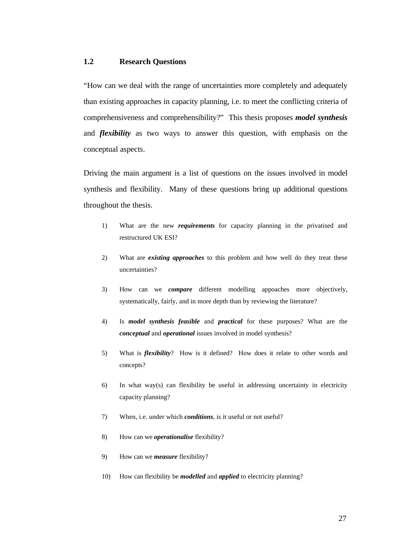## **1.2 Research Questions**

"How can we deal with the range of uncertainties more completely and adequately than existing approaches in capacity planning, i.e. to meet the conflicting criteria of comprehensiveness and comprehensibility?" This thesis proposes *model synthesis* and *flexibility* as two ways to answer this question, with emphasis on the conceptual aspects.

Driving the main argument is a list of questions on the issues involved in model synthesis and flexibility. Many of these questions bring up additional questions throughout the thesis.

- 1) What are the new *requirements* for capacity planning in the privatised and restructured UK ESI?
- 2) What are *existing approaches* to this problem and how well do they treat these uncertainties?
- 3) How can we *compare* different modelling appoaches more objectively, systematically, fairly, and in more depth than by reviewing the literature?
- 4) Is *model synthesis feasible* and *practical* for these purposes? What are the *conceptual* and *operational* issues involved in model synthesis?
- 5) What is *flexibility*? How is it defined? How does it relate to other words and concepts?
- 6) In what way(s) can flexibility be useful in addressing uncertainty in electricity capacity planning?
- 7) When, i.e. under which *conditions*, is it useful or not useful?
- 8) How can we *operationalise* flexibility?
- 9) How can we *measure* flexibility?
- 10) How can flexibility be *modelled* and *applied* to electricity planning?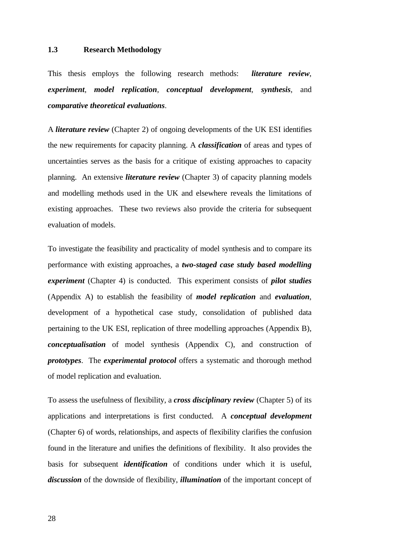## **1.3 Research Methodology**

This thesis employs the following research methods: *literature review*, *experiment*, *model replication*, *conceptual development*, *synthesis*, and *comparative theoretical evaluations*.

A *literature review* (Chapter 2) of ongoing developments of the UK ESI identifies the new requirements for capacity planning. A *classification* of areas and types of uncertainties serves as the basis for a critique of existing approaches to capacity planning. An extensive *literature review* (Chapter 3) of capacity planning models and modelling methods used in the UK and elsewhere reveals the limitations of existing approaches. These two reviews also provide the criteria for subsequent evaluation of models.

To investigate the feasibility and practicality of model synthesis and to compare its performance with existing approaches, a *two-staged case study based modelling experiment* (Chapter 4) is conducted. This experiment consists of *pilot studies* (Appendix A) to establish the feasibility of *model replication* and *evaluation*, development of a hypothetical case study, consolidation of published data pertaining to the UK ESI, replication of three modelling approaches (Appendix B), *conceptualisation* of model synthesis (Appendix C), and construction of *prototypes*. The *experimental protocol* offers a systematic and thorough method of model replication and evaluation.

To assess the usefulness of flexibility, a *cross disciplinary review* (Chapter 5) of its applications and interpretations is first conducted. A *conceptual development* (Chapter 6) of words, relationships, and aspects of flexibility clarifies the confusion found in the literature and unifies the definitions of flexibility. It also provides the basis for subsequent *identification* of conditions under which it is useful, *discussion* of the downside of flexibility, *illumination* of the important concept of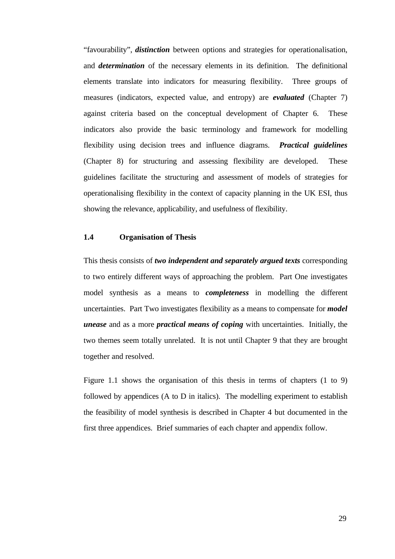"favourability", *distinction* between options and strategies for operationalisation, and *determination* of the necessary elements in its definition. The definitional elements translate into indicators for measuring flexibility. Three groups of measures (indicators, expected value, and entropy) are *evaluated* (Chapter 7) against criteria based on the conceptual development of Chapter 6. These indicators also provide the basic terminology and framework for modelling flexibility using decision trees and influence diagrams. *Practical guidelines* (Chapter 8) for structuring and assessing flexibility are developed. These guidelines facilitate the structuring and assessment of models of strategies for operationalising flexibility in the context of capacity planning in the UK ESI, thus showing the relevance, applicability, and usefulness of flexibility.

## **1.4 Organisation of Thesis**

This thesis consists of *two independent and separately argued texts* corresponding to two entirely different ways of approaching the problem. Part One investigates model synthesis as a means to *completeness* in modelling the different uncertainties. Part Two investigates flexibility as a means to compensate for *model unease* and as a more *practical means of coping* with uncertainties. Initially, the two themes seem totally unrelated. It is not until Chapter 9 that they are brought together and resolved.

Figure 1.1 shows the organisation of this thesis in terms of chapters (1 to 9) followed by appendices (A to D in italics). The modelling experiment to establish the feasibility of model synthesis is described in Chapter 4 but documented in the first three appendices. Brief summaries of each chapter and appendix follow.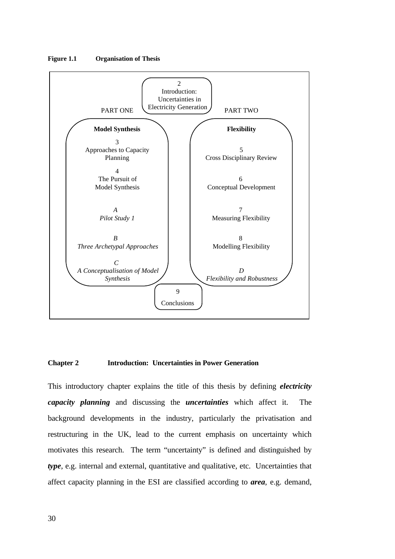

**Figure 1.1 Organisation of Thesis**

#### **Chapter 2 Introduction: Uncertainties in Power Generation**

This introductory chapter explains the title of this thesis by defining *electricity capacity planning* and discussing the *uncertainties* which affect it. The background developments in the industry, particularly the privatisation and restructuring in the UK, lead to the current emphasis on uncertainty which motivates this research. The term "uncertainty" is defined and distinguished by *type*, e.g. internal and external, quantitative and qualitative, etc. Uncertainties that affect capacity planning in the ESI are classified according to *area*, e.g. demand,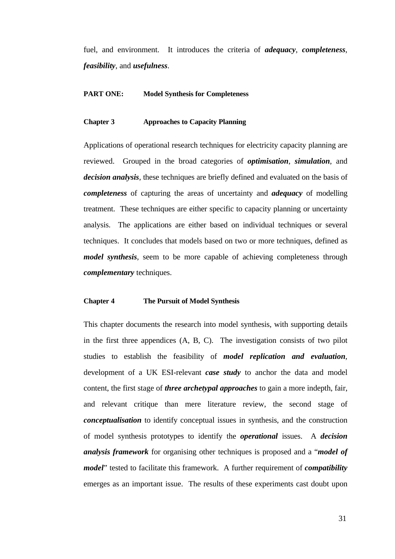fuel, and environment. It introduces the criteria of *adequacy*, *completeness*, *feasibility*, and *usefulness*.

### **PART ONE: Model Synthesis for Completeness**

### **Chapter 3 Approaches to Capacity Planning**

Applications of operational research techniques for electricity capacity planning are reviewed. Grouped in the broad categories of *optimisation*, *simulation*, and *decision analysis*, these techniques are briefly defined and evaluated on the basis of *completeness* of capturing the areas of uncertainty and *adequacy* of modelling treatment. These techniques are either specific to capacity planning or uncertainty analysis. The applications are either based on individual techniques or several techniques. It concludes that models based on two or more techniques, defined as *model synthesis*, seem to be more capable of achieving completeness through *complementary* techniques.

#### **Chapter 4 The Pursuit of Model Synthesis**

This chapter documents the research into model synthesis, with supporting details in the first three appendices (A, B, C). The investigation consists of two pilot studies to establish the feasibility of *model replication and evaluation*, development of a UK ESI-relevant *case study* to anchor the data and model content, the first stage of *three archetypal approaches* to gain a more indepth, fair, and relevant critique than mere literature review, the second stage of *conceptualisation* to identify conceptual issues in synthesis, and the construction of model synthesis prototypes to identify the *operational* issues. A *decision analysis framework* for organising other techniques is proposed and a "*model of model*" tested to facilitate this framework. A further requirement of *compatibility* emerges as an important issue. The results of these experiments cast doubt upon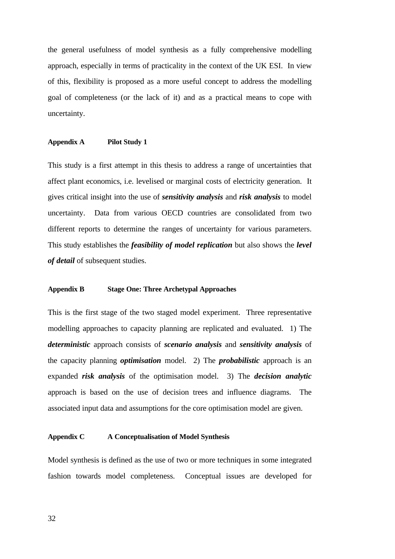the general usefulness of model synthesis as a fully comprehensive modelling approach, especially in terms of practicality in the context of the UK ESI. In view of this, flexibility is proposed as a more useful concept to address the modelling goal of completeness (or the lack of it) and as a practical means to cope with uncertainty.

### **Appendix A Pilot Study 1**

This study is a first attempt in this thesis to address a range of uncertainties that affect plant economics, i.e. levelised or marginal costs of electricity generation. It gives critical insight into the use of *sensitivity analysis* and *risk analysis* to model uncertainty. Data from various OECD countries are consolidated from two different reports to determine the ranges of uncertainty for various parameters. This study establishes the *feasibility of model replication* but also shows the *level of detail* of subsequent studies.

#### **Appendix B Stage One: Three Archetypal Approaches**

This is the first stage of the two staged model experiment. Three representative modelling approaches to capacity planning are replicated and evaluated. 1) The *deterministic* approach consists of *scenario analysis* and *sensitivity analysis* of the capacity planning *optimisation* model. 2) The *probabilistic* approach is an expanded *risk analysis* of the optimisation model. 3) The *decision analytic* approach is based on the use of decision trees and influence diagrams. The associated input data and assumptions for the core optimisation model are given.

#### **Appendix C A Conceptualisation of Model Synthesis**

Model synthesis is defined as the use of two or more techniques in some integrated fashion towards model completeness. Conceptual issues are developed for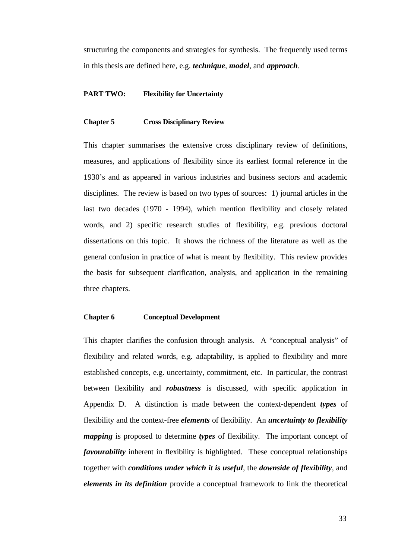structuring the components and strategies for synthesis. The frequently used terms in this thesis are defined here, e.g. *technique*, *model*, and *approach*.

### **PART TWO: Flexibility for Uncertainty**

#### **Chapter 5 Cross Disciplinary Review**

This chapter summarises the extensive cross disciplinary review of definitions, measures, and applications of flexibility since its earliest formal reference in the 1930's and as appeared in various industries and business sectors and academic disciplines. The review is based on two types of sources: 1) journal articles in the last two decades (1970 - 1994), which mention flexibility and closely related words, and 2) specific research studies of flexibility, e.g. previous doctoral dissertations on this topic. It shows the richness of the literature as well as the general confusion in practice of what is meant by flexibility. This review provides the basis for subsequent clarification, analysis, and application in the remaining three chapters.

#### **Chapter 6 Conceptual Development**

This chapter clarifies the confusion through analysis. A "conceptual analysis" of flexibility and related words, e.g. adaptability, is applied to flexibility and more established concepts, e.g. uncertainty, commitment, etc. In particular, the contrast between flexibility and *robustness* is discussed, with specific application in Appendix D. A distinction is made between the context-dependent *types* of flexibility and the context-free *elements* of flexibility. An *uncertainty to flexibility mapping* is proposed to determine *types* of flexibility. The important concept of *favourability* inherent in flexibility is highlighted. These conceptual relationships together with *conditions under which it is useful*, the *downside of flexibility*, and *elements in its definition* provide a conceptual framework to link the theoretical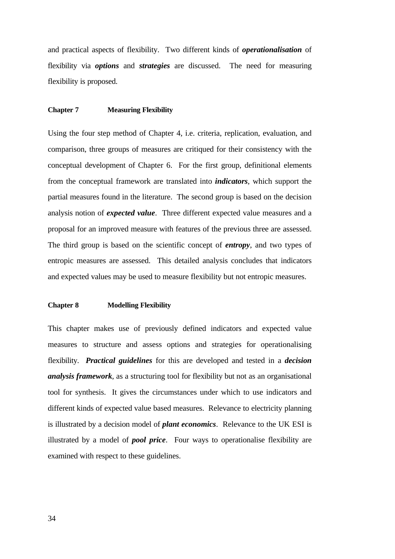and practical aspects of flexibility. Two different kinds of *operationalisation* of flexibility via *options* and *strategies* are discussed. The need for measuring flexibility is proposed.

#### **Chapter 7 Measuring Flexibility**

Using the four step method of Chapter 4, i.e. criteria, replication, evaluation, and comparison, three groups of measures are critiqued for their consistency with the conceptual development of Chapter 6. For the first group, definitional elements from the conceptual framework are translated into *indicators*, which support the partial measures found in the literature. The second group is based on the decision analysis notion of *expected value*. Three different expected value measures and a proposal for an improved measure with features of the previous three are assessed. The third group is based on the scientific concept of *entropy*, and two types of entropic measures are assessed. This detailed analysis concludes that indicators and expected values may be used to measure flexibility but not entropic measures.

#### **Chapter 8 Modelling Flexibility**

This chapter makes use of previously defined indicators and expected value measures to structure and assess options and strategies for operationalising flexibility. *Practical guidelines* for this are developed and tested in a *decision analysis framework*, as a structuring tool for flexibility but not as an organisational tool for synthesis. It gives the circumstances under which to use indicators and different kinds of expected value based measures. Relevance to electricity planning is illustrated by a decision model of *plant economics*. Relevance to the UK ESI is illustrated by a model of *pool price*. Four ways to operationalise flexibility are examined with respect to these guidelines.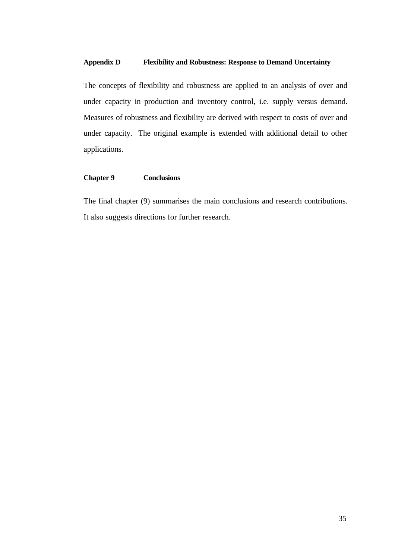## **Appendix D Flexibility and Robustness: Response to Demand Uncertainty**

The concepts of flexibility and robustness are applied to an analysis of over and under capacity in production and inventory control, i.e. supply versus demand. Measures of robustness and flexibility are derived with respect to costs of over and under capacity. The original example is extended with additional detail to other applications.

#### **Chapter 9 Conclusions**

The final chapter (9) summarises the main conclusions and research contributions. It also suggests directions for further research.